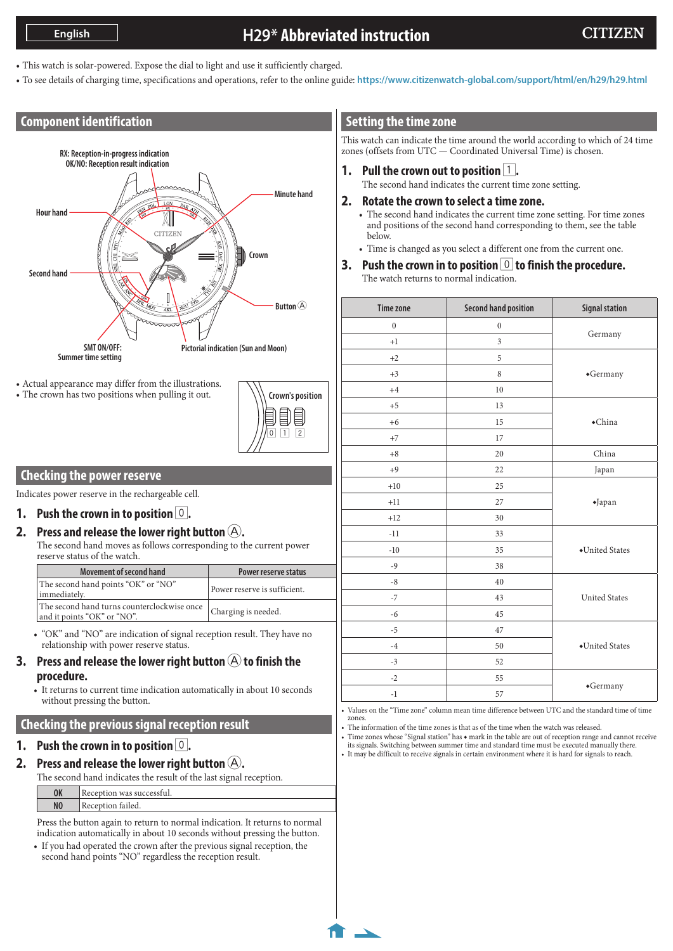# **H29\* Abbreviated instruction**

- This watch is solar-powered. Expose the dial to light and use it sufficiently charged.
- To see details of charging time, specifications and operations, refer to the online guide: **<https://www.citizenwatch-global.com/support/html/en/h29/h29.html>**

## **Component identification**



• Actual appearance may differ from the illustrations. • The crown has two positions when pulling it out.



### **Checking the power reserve**

Indicates power reserve in the rechargeable cell.

**1.** Push the crown in to position  $\vert 0 \vert$ .

## **2.** Press and release the lower right button  $(A)$ .

The second hand moves as follows corresponding to the current power reserve status of the watch.

| Movement of second hand                                                                          | Power reserve status         |
|--------------------------------------------------------------------------------------------------|------------------------------|
| The second hand points "OK" or "NO"<br>immediately.                                              | Power reserve is sufficient. |
| The second hand turns counterclockwise once   Charging is needed.<br>and it points "OK" or "NO". |                              |

• "OK" and "NO" are indication of signal reception result. They have no relationship with power reserve status.

- **3.** Press and release the lower right button  $\bigcirc$  to finish the **procedure.**
	- It returns to current time indication automatically in about 10 seconds without pressing the button.

## **Checking the previous signal reception result**

## **1. Push the crown in to position** 0**.**

**2.** Press and release the lower right button  $(A)$ .

The second hand indicates the result of the last signal reception.

**OK** Reception was successful.

**NO** Reception failed.

Press the button again to return to normal indication. It returns to normal indication automatically in about 10 seconds without pressing the button.

• If you had operated the crown after the previous signal reception, the second hand points "NO" regardless the reception result.

## **Setting the time zone**

This watch can indicate the time around the world according to which of 24 time zones (offsets from UTC — Coordinated Universal Time) is chosen.

- **1.** Pull the crown out to position 1. The second hand indicates the current time zone setting.
- **2. Rotate the crown to select a time zone.**
	- The second hand indicates the current time zone setting. For time zones and positions of the second hand corresponding to them, see the table below.
	- Time is changed as you select a different one from the current one.
- **3. Push the crown in to position** 0 **to finish the procedure.** The watch returns to normal indication.

| <b>Time zone</b> | <b>Second hand position</b> | <b>Signal station</b> |
|------------------|-----------------------------|-----------------------|
| $\boldsymbol{0}$ | $\boldsymbol{0}$            |                       |
| $+1$             | $\mathfrak{Z}$              | Germany               |
| $+2$             | 5                           |                       |
| $+3$             | $\,8\,$                     | *Germany              |
| $+4$             | 10                          |                       |
| $+5$             | 13                          |                       |
| $+6$             | 15                          | $\bullet$ China       |
| $+7$             | 17                          |                       |
| $+8$             | 20                          | China                 |
| $+9$             | 22                          | Japan                 |
| $+10$            | 25                          | $\blacklozenge$ Japan |
| $+11$            | 27                          |                       |
| $+12$            | 30                          |                       |
| $-11$            | 33                          |                       |
| $-10$            | 35                          | ◆United States        |
| $-9$             | 38                          |                       |
| $-8$             | 40                          |                       |
| $-7$             | 43                          | <b>United States</b>  |
| $-6$             | 45                          |                       |
| $-5$             | 47                          |                       |
| $-4$             | 50                          | •United States        |
| $-3$             | 52                          |                       |
| $-2$             | 55                          |                       |
| $^{\rm -1}$      | 57                          | $\bullet$ Germany     |

• Values on the "Time zone" column mean time difference between UTC and the standard time of time zones.

• The information of the time zones is that as of the time when the watch was released.

• Time zones whose "Signal station" has ◆ mark in the table are out of reception range and cannot receive its signals. Switching between summer time and standard time must be executed manually there.

• It may be difficult to receive signals in certain environment where it is hard for signals to reach.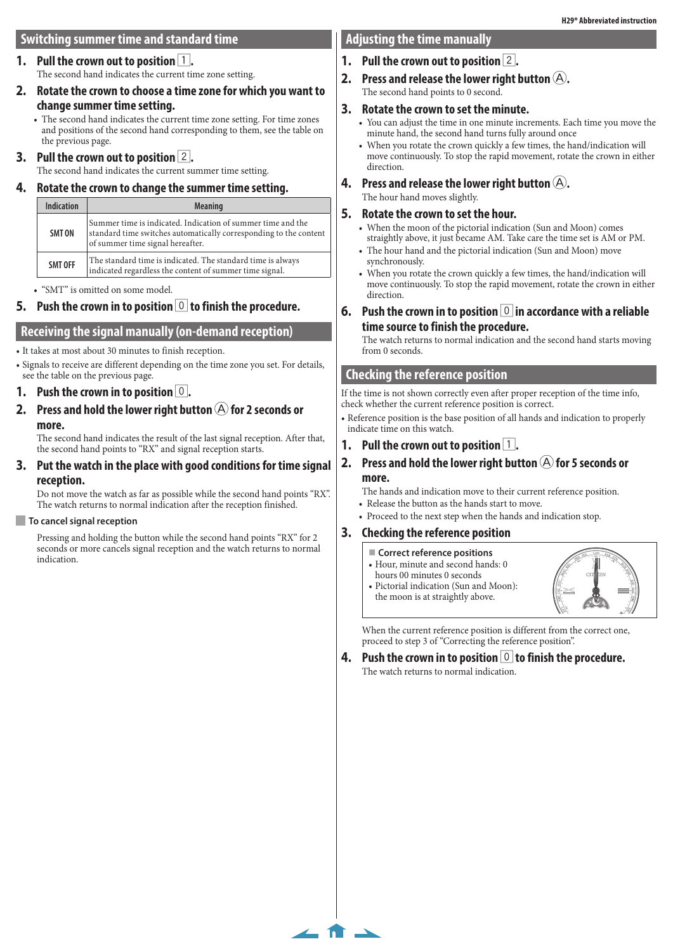## **Switching summer time and standard time**

#### **Pull the crown out to position 1.** The second hand indicates the current time zone setting.

### **2. Rotate the crown to choose a time zone for which you want to change summer time setting.**

• The second hand indicates the current time zone setting. For time zones and positions of the second hand corresponding to them, see the table on the previous page.

## **3. Pull the crown out to position** 2**.**

The second hand indicates the current summer time setting.

### **4. Rotate the crown to change the summer time setting.**

| Summer time is indicated. Indication of summer time and the<br>standard time switches automatically corresponding to the content<br>SMT ON<br>of summer time signal hereafter. |
|--------------------------------------------------------------------------------------------------------------------------------------------------------------------------------|
| The standard time is indicated. The standard time is always<br>SMT OFF<br>indicated regardless the content of summer time signal.                                              |

• "SMT" is omitted on some model.

# **5. Push the crown in to position** 0 **to finish the procedure.**

## **Receiving the signal manually (on-demand reception)**

• It takes at most about 30 minutes to finish reception.

• Signals to receive are different depending on the time zone you set. For details, see the table on the previous page.

## **1.** Push the crown in to position  $\vert 0 \vert$ .

**2.** Press and hold the lower right button  $\textcircled{A}$  for 2 seconds or **more.**

The second hand indicates the result of the last signal reception. After that, the second hand points to "RX" and signal reception starts.

## **3. Put the watch in the place with good conditions for time signal reception.**

Do not move the watch as far as possible while the second hand points "RX". The watch returns to normal indication after the reception finished.

## **To cancel signal reception**

Pressing and holding the button while the second hand points "RX" for 2 seconds or more cancels signal reception and the watch returns to normal indication.

## **Adjusting the time manually**

## **1. Pull the crown out to position** 2**.**

**2.** Press and release the lower right button  $(A)$ . The second hand points to 0 second.

## **3. Rotate the crown to set the minute.**

- You can adjust the time in one minute increments. Each time you move the minute hand, the second hand turns fully around once
- When you rotate the crown quickly a few times, the hand/indication will move continuously. To stop the rapid movement, rotate the crown in either direction.
- **4.** Press and release the lower right button  $(A)$ . The hour hand moves slightly.

## **5. Rotate the crown to set the hour.**

- When the moon of the pictorial indication (Sun and Moon) comes straightly above, it just became AM. Take care the time set is AM or PM.
- The hour hand and the pictorial indication (Sun and Moon) move synchronously.
- When you rotate the crown quickly a few times, the hand/indication will move continuously. To stop the rapid movement, rotate the crown in either direction.
- **6.** Push the crown in to position **0** in accordance with a reliable **time source to finish the procedure.**

The watch returns to normal indication and the second hand starts moving from 0 seconds.

## **Checking the reference position**

If the time is not shown correctly even after proper reception of the time info, check whether the current reference position is correct.

• Reference position is the base position of all hands and indication to properly indicate time on this watch.

### **1.** Pull the crown out to position  $\boxed{1}$ .

### **2.** Press and hold the lower right button  $\overline{A}$  for 5 seconds or **more.**

The hands and indication move to their current reference position.

- Release the button as the hands start to move.
- Proceed to the next step when the hands and indication stop.

#### **3. Checking the reference position**

**Correct reference positions**

 $\leftarrow$  fr  $\rightarrow$ 

• Hour, minute and second hands: 0 hours 00 minutes 0 seconds





When the current reference position is different from the correct one, proceed to step 3 of "Correcting the reference position".

**4.** Push the crown in to position **0** to finish the procedure. The watch returns to normal indication.